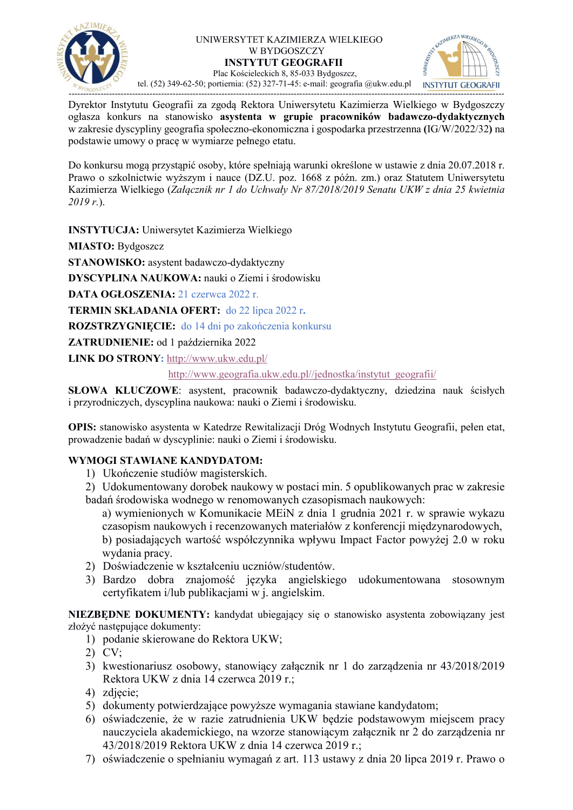

### UNIWERSYTET KAZIMIERZA WIELKIEGO W BYDGOSZCZY INSTYTUT GEOGRAFII Plac Kościeleckich 8, 85-033 Bydgoszcz,



tel. (52) 349-62-50; portiernia: (52) 327-71-45: e-mail: geografia @ukw.edu.pl

------------------------------------------------------------------------------------------------------------------------------------------------------- Dyrektor Instytutu Geografii za zgodą Rektora Uniwersytetu Kazimierza Wielkiego w Bydgoszczy ogłasza konkurs na stanowisko asystenta w grupie pracowników badawczo-dydaktycznych w zakresie dyscypliny geografia społeczno-ekonomiczna i gospodarka przestrzenna (IG/W/2022/32) na podstawie umowy o pracę w wymiarze pełnego etatu.

Do konkursu mogą przystąpić osoby, które spełniają warunki określone w ustawie z dnia 20.07.2018 r. Prawo o szkolnictwie wyższym i nauce (DZ.U. poz. 1668 z późn. zm.) oraz Statutem Uniwersytetu Kazimierza Wielkiego (Załącznik nr 1 do Uchwały Nr 87/2018/2019 Senatu UKW z dnia 25 kwietnia  $2019 r$ .

INSTYTUCJA: Uniwersytet Kazimierza Wielkiego

MIASTO: Bydgoszcz

STANOWISKO: asystent badawczo-dydaktyczny

DYSCYPLINA NAUKOWA: nauki o Ziemi i środowisku

DATA OGŁOSZENIA: 21 czerwca 2022 r.

TERMIN SKŁADANIA OFERT: do 22 lipca 2022 r.

ROZSTRZYGNIECIE: do 14 dni po zakończenia konkursu

ZATRUDNIENIE: od 1 października 2022

LINK DO STRONY: http://www.ukw.edu.pl/

http://www.geografia.ukw.edu.pl//jednostka/instytut\_geografii/

SŁOWA KLUCZOWE: asystent, pracownik badawczo-dydaktyczny, dziedzina nauk ścisłych i przyrodniczych, dyscyplina naukowa: nauki o Ziemi i środowisku.

OPIS: stanowisko asystenta w Katedrze Rewitalizacji Dróg Wodnych Instytutu Geografii, pełen etat, prowadzenie badań w dyscyplinie: nauki o Ziemi i środowisku.

# WYMOGI STAWIANE KANDYDATOM:

- 1) Ukończenie studiów magisterskich.
- 2) Udokumentowany dorobek naukowy w postaci min. 5 opublikowanych prac w zakresie badań środowiska wodnego w renomowanych czasopismach naukowych:

a) wymienionych w Komunikacie MEiN z dnia 1 grudnia 2021 r. w sprawie wykazu czasopism naukowych i recenzowanych materiałów z konferencji międzynarodowych, b) posiadających wartość współczynnika wpływu Impact Factor powyżej 2.0 w roku wydania pracy.

- 2) Doświadczenie w kształceniu uczniów/studentów.
- 3) Bardzo dobra znajomość języka angielskiego udokumentowana stosownym certyfikatem i/lub publikacjami w j. angielskim.

NIEZBĘDNE DOKUMENTY: kandydat ubiegający się o stanowisko asystenta zobowiązany jest złożyć następujące dokumenty:

- 1) podanie skierowane do Rektora UKW;
- 2) CV;
- 3) kwestionariusz osobowy, stanowiący załącznik nr 1 do zarządzenia nr 43/2018/2019 Rektora UKW z dnia 14 czerwca 2019 r.;
- 4) zdjęcie;
- 5) dokumenty potwierdzające powyższe wymagania stawiane kandydatom;
- 6) oświadczenie, że w razie zatrudnienia UKW będzie podstawowym miejscem pracy nauczyciela akademickiego, na wzorze stanowiącym załącznik nr 2 do zarządzenia nr 43/2018/2019 Rektora UKW z dnia 14 czerwca 2019 r.;
- 7) oświadczenie o spełnianiu wymagań z art. 113 ustawy z dnia 20 lipca 2019 r. Prawo o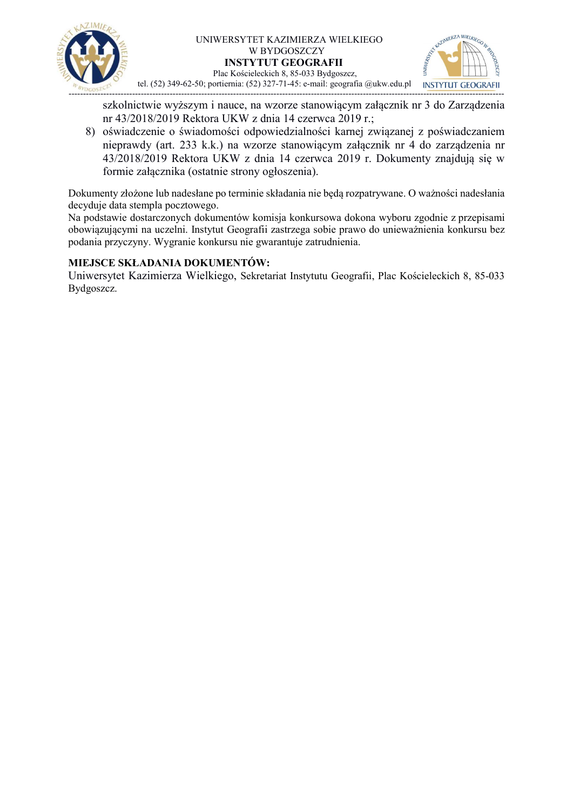

### UNIWERSYTET KAZIMIERZA WIELKIEGO W BYDGOSZCZY INSTYTUT GEOGRAFII



 Plac Kościeleckich 8, 85-033 Bydgoszcz, tel. (52) 349-62-50; portiernia: (52) 327-71-45: e-mail: geografia @ukw.edu.pl

szkolnictwie wyższym i nauce, na wzorze stanowiącym załącznik nr 3 do Zarządzenia nr 43/2018/2019 Rektora UKW z dnia 14 czerwca 2019 r.;

8) oświadczenie o świadomości odpowiedzialności karnej związanej z poświadczaniem nieprawdy (art. 233 k.k.) na wzorze stanowiącym załącznik nr 4 do zarządzenia nr 43/2018/2019 Rektora UKW z dnia 14 czerwca 2019 r. Dokumenty znajdują się w formie załącznika (ostatnie strony ogłoszenia).

Dokumenty złożone lub nadesłane po terminie składania nie będą rozpatrywane. O ważności nadesłania decyduje data stempla pocztowego.

Na podstawie dostarczonych dokumentów komisja konkursowa dokona wyboru zgodnie z przepisami obowiązującymi na uczelni. Instytut Geografii zastrzega sobie prawo do unieważnienia konkursu bez podania przyczyny. Wygranie konkursu nie gwarantuje zatrudnienia.

## MIEJSCE SKŁADANIA DOKUMENTÓW:

Uniwersytet Kazimierza Wielkiego, Sekretariat Instytutu Geografii, Plac Kościeleckich 8, 85-033 Bydgoszcz.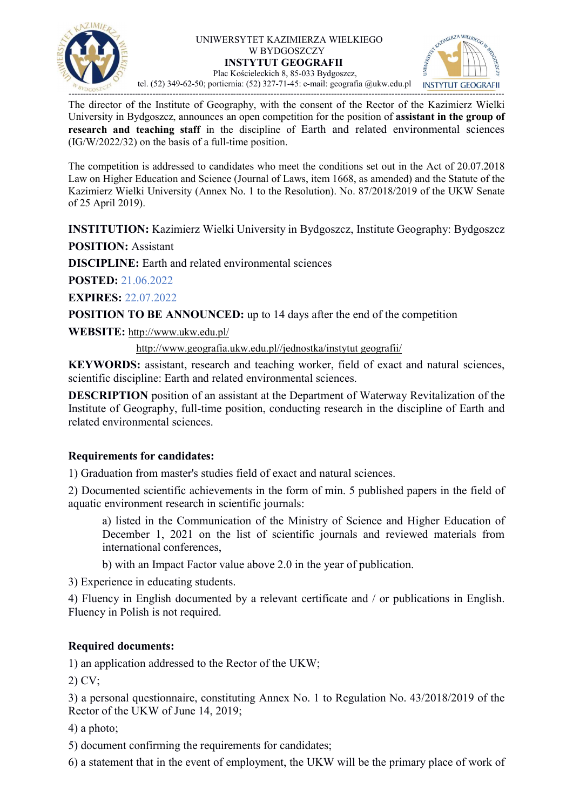

#### UNIWERSYTET KAZIMIERZA WIELKIEGO W BYDGOSZCZY INSTYTUT GEOGRAFII Plac Kościeleckich 8, 85-033 Bydgoszcz,



tel. (52) 349-62-50; portiernia: (52) 327-71-45: e-mail: geografia @ukw.edu.pl

The director of the Institute of Geography, with the consent of the Rector of the Kazimierz Wielki University in Bydgoszcz, announces an open competition for the position of **assistant in the group of** research and teaching staff in the discipline of Earth and related environmental sciences (IG/W/2022/32) on the basis of a full-time position.

The competition is addressed to candidates who meet the conditions set out in the Act of 20.07.2018 Law on Higher Education and Science (Journal of Laws, item 1668, as amended) and the Statute of the Kazimierz Wielki University (Annex No. 1 to the Resolution). No. 87/2018/2019 of the UKW Senate of 25 April 2019).

INSTITUTION: Kazimierz Wielki University in Bydgoszcz, Institute Geography: Bydgoszcz

POSITION: Assistant

DISCIPLINE: Earth and related environmental sciences

POSTED: 21.06.2022

EXPIRES: 22.07.2022

POSITION TO BE ANNOUNCED: up to 14 days after the end of the competition

WEBSITE: http://www.ukw.edu.pl/

http://www.geografia.ukw.edu.pl//jednostka/instytut geografii/

KEYWORDS: assistant, research and teaching worker, field of exact and natural sciences, scientific discipline: Earth and related environmental sciences.

DESCRIPTION position of an assistant at the Department of Waterway Revitalization of the Institute of Geography, full-time position, conducting research in the discipline of Earth and related environmental sciences.

# Requirements for candidates:

1) Graduation from master's studies field of exact and natural sciences.

2) Documented scientific achievements in the form of min. 5 published papers in the field of aquatic environment research in scientific journals:

a) listed in the Communication of the Ministry of Science and Higher Education of December 1, 2021 on the list of scientific journals and reviewed materials from international conferences,

b) with an Impact Factor value above 2.0 in the year of publication.

3) Experience in educating students.

4) Fluency in English documented by a relevant certificate and / or publications in English. Fluency in Polish is not required.

# Required documents:

1) an application addressed to the Rector of the UKW;

2) CV;

3) a personal questionnaire, constituting Annex No. 1 to Regulation No. 43/2018/2019 of the Rector of the UKW of June 14, 2019;

4) a photo;

- 5) document confirming the requirements for candidates;
- 6) a statement that in the event of employment, the UKW will be the primary place of work of